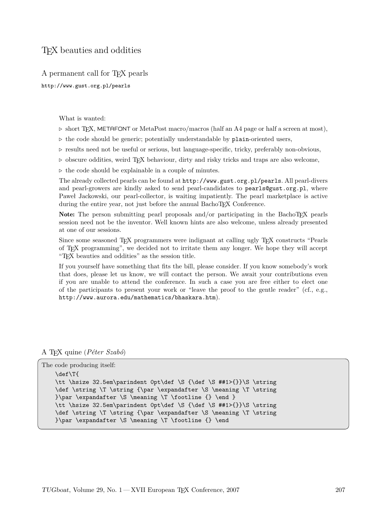## TEX beauties and oddities

A permanent call for TEX pearls

http://www.gust.org.pl/pearls

What is wanted:

- $\triangleright$  short TEX, METAFONT or MetaPost macro/macros (half an A4 page or half a screen at most),
- $\triangleright$  the code should be generic; potentially understandable by plain-oriented users,
- $\triangleright$  results need not be useful or serious, but language-specific, tricky, preferably non-obvious,
- $\triangleright$  obscure oddities, weird T<sub>EX</sub> behaviour, dirty and risky tricks and traps are also welcome,
- $\triangleright$  the code should be explainable in a couple of minutes.

The already collected pearls can be found at http://www.gust.org.pl/pearls. All pearl-divers and pearl-growers are kindly asked to send pearl-candidates to pearls@gust.org.pl, where Paweł Jackowski, our pearl-collector, is waiting impatiently. The pearl marketplace is active during the entire year, not just before the annual BachoTEX Conference.

Note: The person submitting pearl proposals and/or participating in the BachoTEX pearls session need not be the inventor. Well known hints are also welcome, unless already presented at one of our sessions.

Since some seasoned TEX programmers were indignant at calling ugly TEX constructs "Pearls of TEX programming", we decided not to irritate them any longer. We hope they will accept "TEX beauties and oddities" as the session title.

If you yourself have something that fits the bill, please consider. If you know somebody's work that does, please let us know, we will contact the person. We await your contributions even if you are unable to attend the conference. In such a case you are free either to elect one of the participants to present your work or "leave the proof to the gentle reader" (cf., e.g., http://www.aurora.edu/mathematics/bhaskara.htm).

A TEX quine (*P´eter Szabo´*)

```
The code producing itself:
   \def\T{
   \tt \hsize 32.5em\parindent 0pt\def \S {\def \S ##1>{}}\S \string
   \def \string \T \string {\par \expandafter \S \meaning \T \string
   }\par \expandafter \S \meaning \T \footline {} \end }
   \tt \hsize 32.5em\parindent 0pt\def \S {\def \S ##1>{}}\S \string
   \def \string \T \string {\par \expandafter \S \meaning \T \string
   }\par \expandafter \S \meaning \T \footline {} \end
```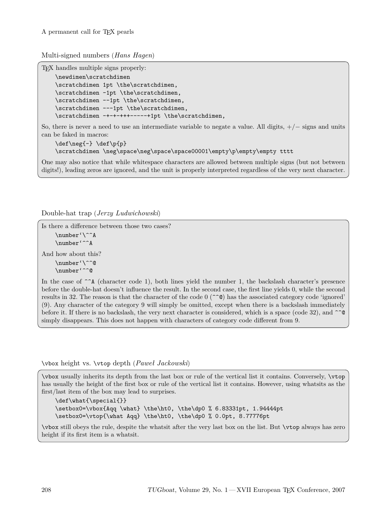Multi-signed numbers (*Hans Hagen*)

TEX handles multiple signs properly:

```
\newdimen\scratchdimen
\scratchdimen 1pt \the\scratchdimen,
\scratchdimen -1pt \the\scratchdimen,
\scratchdimen --1pt \the\scratchdimen,
\scratchdimen ---1pt \the\scratchdimen,
\scratchdimen -+-+-+++-----+1pt \the\scratchdimen,
```
So, there is never a need to use an intermediate variable to negate a value. All digits,  $+/-$  signs and units can be faked in macros:

```
\def\neg{-} \def\p{p}
\scratchdimen \neg\space\neg\space\space00001\empty\p\empty\empty tttt
```
One may also notice that while whitespace characters are allowed between multiple signs (but not between digits!), leading zeros are ignored, and the unit is properly interpreted regardless of the very next character.

Double-hat trap (*Jerzy Ludwichowski*)

```
Is there a difference between those two cases?
    \number'\^^A
    \number'^^A
And how about this?
    \number'\^^@
    \number'^^@
```
In the case of  $\hat{\ }$ <sup>A</sup> (character code 1), both lines yield the number 1, the backslash character's presence before the double-hat doesn't influence the result. In the second case, the first line yields 0, while the second results in 32. The reason is that the character of the code  $0$  ( $\hat{\ }$ ) has the associated category code 'ignored' (9). Any character of the category 9 will simply be omitted, except when there is a backslash immediately before it. If there is no backslash, the very next character is considered, which is a space (code 32), and  $\hat{\ }$ simply disappears. This does not happen with characters of category code different from 9.

\vbox height vs. \vtop depth (*Paweł Jackowski*)

\vbox usually inherits its depth from the last box or rule of the vertical list it contains. Conversely, \vtop has usually the height of the first box or rule of the vertical list it contains. However, using whatsits as the first/last item of the box may lead to surprises.

```
\def\what{\special{}}
\setbox0=\vbox{Aqq \what} \the\ht0, \the\dp0 % 6.83331pt, 1.94444pt
\setbox0=\vtop{\what Aqq} \the\ht0, \the\dp0 % 0.0pt, 8.77776pt
```
\vbox still obeys the rule, despite the whatsit after the very last box on the list. But \vtop always has zero height if its first item is a whatsit.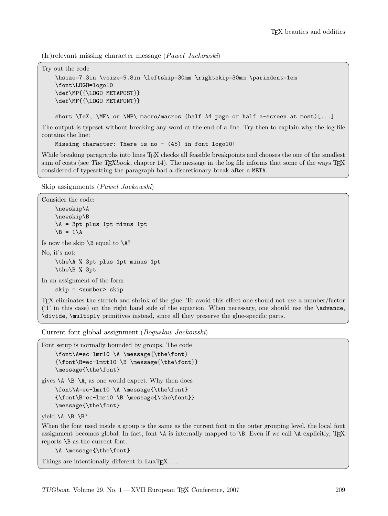(Ir)relevant missing character message (*Paweł Jackowski*)

Try out the code

```
\hsize=7.3in \vsize=9.8in \leftskip=30mm \rightskip=30mm \parindent=1em
\font\LOGO=logo10
\def\MP{{\LOGO METAPOST}}
\def\MF{{\LOGO METAFONT}}
```
short \TeX, \MF\ or \MP\ macro/macros (half A4 page or half a~screen at most)[...]

The output is typeset without breaking any word at the end of a line. Try then to explain why the log file contains the line:

Missing character: There is no  $-$  (45) in font logo10!

While breaking paragraphs into lines T<sub>EX</sub> checks all feasible breakpoints and chooses the one of the smallest sum of costs (see The T<sub>E</sub>Xbook, chapter 14). The message in the log file informs that some of the ways  $T_{\text{F}}X$ considered of typesetting the paragraph had a discretionary break after a META.

Skip assignments (*Paweł Jackowski*)

```
Consider the code:
    \newskip\A
    \newskip\B
    \A = 3pt plus 1pt minus 1pt
    \Bbb B = 1\AIs now the skip \Bbb B equal to \A?
No, it's not:
    \the\A % 3pt plus 1pt minus 1pt
    \the\B % 3pt
In an assignment of the form
    skip = <number> skip
```
TEX eliminates the stretch and shrink of the glue. To avoid this effect one should not use a number/factor  $(1)$  in this case) on the right hand side of the equation. When necessary, one should use the  $\alpha$ \divide, \multiply primitives instead, since all they preserve the glue-specific parts.

Current font global assignment (*Bogusław Jackowski*)

Font setup is normally bounded by groups. The code \font\A=ec-lmr10 \A \message{\the\font} {\font\B=ec-lmtt10 \B \message{\the\font}} \message{\the\font}

gives  $\A \ B \ \A$ , as one would expect. Why then does

\font\A=ec-lmr10 \A \message{\the\font} {\font\B=ec-lmr10 \B \message{\the\font}} \message{\the\font}

yield  $\A \ B \ B?$ 

When the font used inside a group is the same as the current font in the outer grouping level, the local font assignment becomes global. In fact, font  $\Lambda$  is internally mapped to  $\Bbb B$ . Even if we call  $\Lambda$  explicitly, TEX reports \B as the current font.

\A \message{\the\font}

Things are intentionally different in  $LuaT<sub>E</sub>X$ ...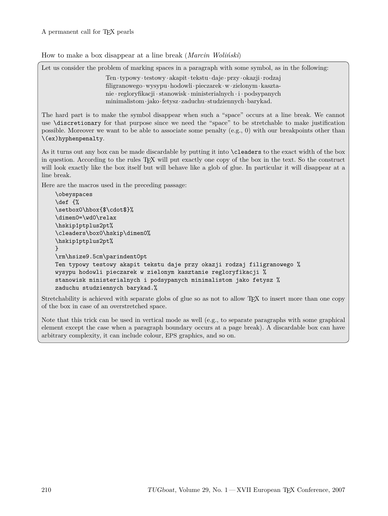How to make a box disappear at a line break (*Marcin Woliński*)

Let us consider the problem of marking spaces in a paragraph with some symbol, as in the following:

Ten·typowy ·testowy · akapit·tekstu·daje ·przy · okazji·rodzaj filigranowego·wysypu·hodowli·pieczarek·w· zielonym·kasztanie ·regloryfikacji ·stanowisk · ministerialnych · i · podsypanych minimalistom·jako·fetysz·zaduchu·studziennych·barykad.

The hard part is to make the symbol disappear when such a "space" occurs at a line break. We cannot use \discretionary for that purpose since we need the "space" to be stretchable to make justification possible. Moreover we want to be able to associate some penalty (e.g., 0) with our breakpoints other than \(ex)hyphenpenalty.

As it turns out any box can be made discardable by putting it into \cleaders to the exact width of the box in question. According to the rules TEX will put exactly one copy of the box in the text. So the construct will look exactly like the box itself but will behave like a glob of glue. In particular it will disappear at a line break.

Here are the macros used in the preceding passage:

```
\obeyspaces
\def {%
\setbox0\hbox{$\cdot$}%
\dimen0=\wd0\relax
\hskip1ptplus2pt%
\cleaders\box0\hskip\dimen0%
\hskip1ptplus2pt%
}
\rm\hsize9.5cm\parindent0pt
Ten typowy testowy akapit tekstu daje przy okazji rodzaj filigranowego %
wysypu hodowli pieczarek w zielonym kasztanie regloryfikacji %
stanowisk ministerialnych i podsypanych minimalistom jako fetysz %
zaduchu studziennych barykad.%
```
Stretchability is achieved with separate globs of glue so as not to allow T<sub>EX</sub> to insert more than one copy of the box in case of an overstretched space.

Note that this trick can be used in vertical mode as well (e.g., to separate paragraphs with some graphical element except the case when a paragraph boundary occurs at a page break). A discardable box can have arbitrary complexity, it can include colour, EPS graphics, and so on.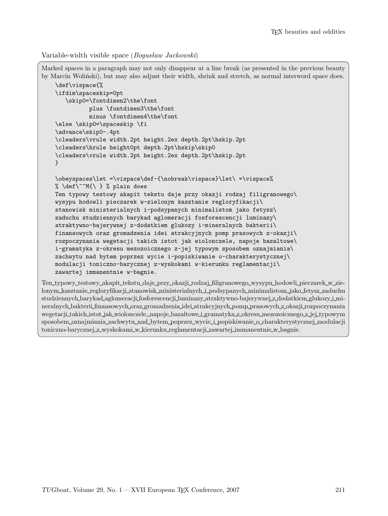```
Variable-width visible space (Bogusław Jackowski)
```

```
Marked spaces in a paragraph may not only disappear at a line break (as presented in the previous beauty
by Marcin Woliński), but may also adjust their width, shrink and stretch, as normal interword space does.
    \def\vispace{%
    \ifdim\spaceskip=0pt
       \skip0=\fontdimen2\the\font
              plus \fontdimen3\the\font
              minus \fontdimen4\the\font
    \else \skip0=\spaceskip \fi
    \advance\skip0-.4pt
    \cleaders\vrule width.2pt height.2ex depth.2pt\hskip.2pt
    \cleaders\hrule height0pt depth.2pt\hskip\skip0
    \cleaders\vrule width.2pt height.2ex depth.2pt\hskip.2pt
   }
    \obeyspaces\let =\vispace\def~{\nobreak\vispace}\let\ =\vispace%
   % \def\^^M{\ } % plain does
   Ten typowy testowy akapit tekstu daje przy okazji rodzaj filigranowego\
   wysypu hodowli pieczarek w~zielonym kasztanie regloryfikacji\
    stanowisk ministerialnych i~podsypanych minimalistom jako fetysz\
   zaduchu studziennych barykad aglomeracji fosforescencji luminazy\
    atraktywno-bajerywnej z~dodatkiem glukozy i~mineralnych bakterii\
   finansowych oraz gromadzenia idei atrakcyjnych pomp prasowych z~okazji\
   rozpoczynania wegetacji takich istot jak wiolonczele, napoje bazaltowe\
    i~gramatyka z~okresu mezozoicznego z~jej typowym sposobem oznajmiania\
   zachwytu nad bytem poprzez wycie i~popiskiwanie o~charakterystycznej\
   modulacji toniczno-barycznej z~wyskokami w~kierunku reglamentacji\
    zawartej immanentnie w~bagnie.
Ten typowy testowy akapit tekstu daje przy okazji rodzaj filigranowego wysypu hodowli pieczarek w zie-
```
lonym kasztanie regloryfikacji stanowisk ministerialnych i podsypanych minimalistom jako fetysz zaduchu studziennych barykad aglomeracji fosforescencji luminazy atraktywno-bajerywnej z dodatkiem glukozy i mineralnych bakterii finansowych oraz gromadzenia idei atrakcyjnych pomp prasowych z okazji rozpoczynania wegetacji takich istot jak wiolonczele, napoje bazaltowe i gramatyka z okresu mezozoicznego z jej typowym sposobem oznajmiania zachwytu nad bytem poprzez wycie i popiskiwanie o charakterystycznej modulacji toniczno-barycznej z wyskokami w kierunku reglamentacji zawartej immanentnie w bagnie.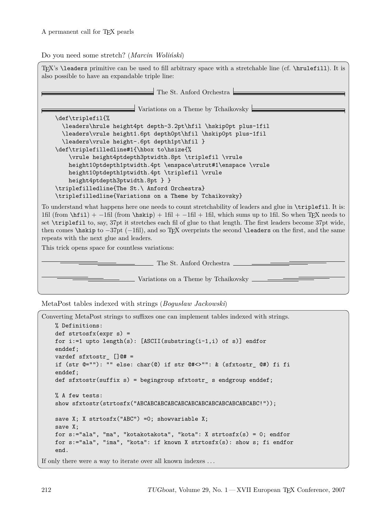## Do you need some stretch? (*Marcin Woliński*)

| TFX's <b>\leaders</b> primitive can be used to fill arbitrary space with a stretchable line (cf. <b>\hrulefill</b> ). It is<br>also possible to have an expandable triple line:                                                                                                                                                                                                                                                                                                                                                  |
|----------------------------------------------------------------------------------------------------------------------------------------------------------------------------------------------------------------------------------------------------------------------------------------------------------------------------------------------------------------------------------------------------------------------------------------------------------------------------------------------------------------------------------|
| The St. Anford Orchestra $\Box$                                                                                                                                                                                                                                                                                                                                                                                                                                                                                                  |
| Variations on a Theme by Tchaikovsky                                                                                                                                                                                                                                                                                                                                                                                                                                                                                             |
| \def\triplefil{%                                                                                                                                                                                                                                                                                                                                                                                                                                                                                                                 |
| \leaders\hrule height4pt depth-3.2pt\hfil \hskip0pt plus-1fil                                                                                                                                                                                                                                                                                                                                                                                                                                                                    |
| \leaders\vrule height1.6pt depth0pt\hfil \hskip0pt plus-1fil                                                                                                                                                                                                                                                                                                                                                                                                                                                                     |
| \leaders\vrule height-.6pt depth1pt\hfil }                                                                                                                                                                                                                                                                                                                                                                                                                                                                                       |
| \def\triplefilledline#1{\hbox to\hsize{%                                                                                                                                                                                                                                                                                                                                                                                                                                                                                         |
| \vrule height4ptdepth3ptwidth.8pt \triplefil \vrule                                                                                                                                                                                                                                                                                                                                                                                                                                                                              |
| height10ptdepth1ptwidth.4pt \enspace\strut#1\enspace \vrule                                                                                                                                                                                                                                                                                                                                                                                                                                                                      |
| height10ptdepth1ptwidth.4pt \triplefil \vrule<br>height4ptdepth3ptwidth.8pt } }                                                                                                                                                                                                                                                                                                                                                                                                                                                  |
| \triplefilledline{The St.\ Anford Orchestra}                                                                                                                                                                                                                                                                                                                                                                                                                                                                                     |
| \triplefilledline{Variations on a Theme by Tchaikovsky}                                                                                                                                                                                                                                                                                                                                                                                                                                                                          |
|                                                                                                                                                                                                                                                                                                                                                                                                                                                                                                                                  |
| To understand what happens here one needs to count stretchability of leaders and glue in \triplefil. It is:<br>1fil (from $\hbar i l$ ) + -1fil (from $\hbar k i p$ ) + 1fil + -1fil + 1fil, which sums up to 1fil. So when TFX needs to<br>set \triplefil to, say, 37pt it stretches each fil of glue to that length. The first leaders become 37pt wide,<br>then comes \hskip to $-37pt$ (-1fil), and so T <sub>E</sub> X overprints the second \leaders on the first, and the same<br>repeats with the next glue and leaders. |
| This trick opens space for countless variations:                                                                                                                                                                                                                                                                                                                                                                                                                                                                                 |
| The St. Anford Orchestra _______                                                                                                                                                                                                                                                                                                                                                                                                                                                                                                 |
| Variations on a Theme by Tchaikovsky                                                                                                                                                                                                                                                                                                                                                                                                                                                                                             |

MetaPost tables indexed with strings (*Bogusław Jackowski*)

```
Converting MetaPost strings to suffixes one can implement tables indexed with strings.
    % Definitions:
    def strtosfx(expr s) =
    for i:=1 upto length(s): [ASCII(substring(i-1,i) of s)] endfor
    enddef;
    vardef sfxtostr_ []@# =
    if (str @=""): "" else: char(@) if str @#<>"": & (sfxtostr_ @#) fi fi
    enddef;
    def sfxtostr(suffix s) = begingroup sfxtostr_ s endgroup enddef;
    % A few tests:
    show sfxtostr(strtosfx("ABCABCABCABCABCABCABCABCABCABCABCABC!"));
    save X; X strtosfx("ABC") = 0; showvariable X;
    save X;
    for s:="ala", "ma", "kotakotakota", "kota": X strtosfx(s) = 0; endfor
    for s:="ala", "ima", "kota": if known X strtosfx(s): show s; fi endfor
    end.
If only there were a way to iterate over all known indexes . . .
```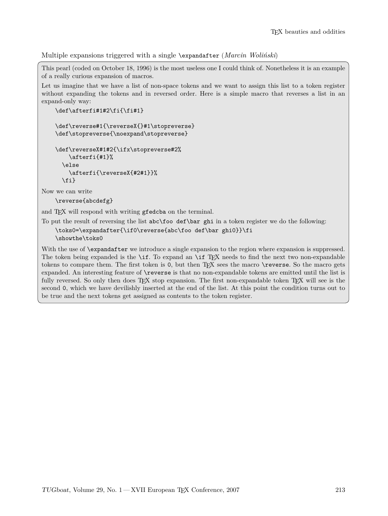Multiple expansions triggered with a single \expandafter (*Marcin Woliński*)

This pearl (coded on October 18, 1996) is the most useless one I could think of. Nonetheless it is an example of a really curious expansion of macros.

Let us imagine that we have a list of non-space tokens and we want to assign this list to a token register without expanding the tokens and in reversed order. Here is a simple macro that reverses a list in an expand-only way:

```
\def\afterfi#1#2\fi{\fi#1}
```

```
\def\reverse#1{\reverseX{}#1\stopreverse}
\def\stopreverse{\noexpand\stopreverse}
```

```
\def\reverseX#1#2{\ifx\stopreverse#2%
    \afterfi{#1}%
  \else
    \afterfi{\reverseX{#2#1}}%
  \fi}
```
Now we can write

\reverse{abcdefg}

and T<sub>F</sub>X will respond with writing gfedcba on the terminal.

To put the result of reversing the list abc\foo def\bar ghi in a token register we do the following:

\toks0=\expandafter{\if0\reverse{abc\foo def\bar ghi0}}\fi \showthe\toks0

With the use of **\expandafter** we introduce a single expansion to the region where expansion is suppressed. The token being expanded is the  $\iota$  T. To expand an  $\iota$  T<sub>EX</sub> needs to find the next two non-expandable tokens to compare them. The first token is 0, but then T<sub>E</sub>X sees the macro \reverse. So the macro gets expanded. An interesting feature of \reverse is that no non-expandable tokens are emitted until the list is fully reversed. So only then does T<sub>F</sub>X stop expansion. The first non-expandable token T<sub>F</sub>X will see is the second 0, which we have devilishly inserted at the end of the list. At this point the condition turns out to be true and the next tokens get assigned as contents to the token register.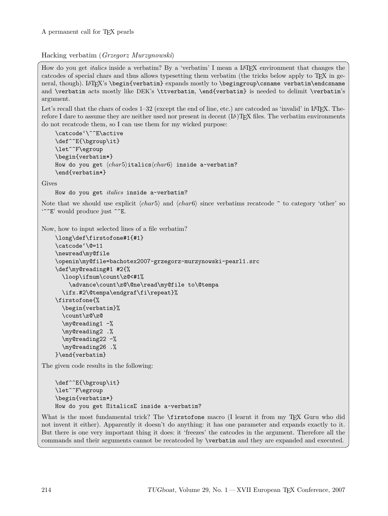Hacking verbatim (*Grzegorz Murzynowski*)

How do you get *italics* inside a verbatim? By a 'verbatim' I mean a LAT<sub>EX</sub> environment that changes the catcodes of special chars and thus allows typesetting them verbatim (the tricks below apply to TEX in general, though). LAT<sub>EX</sub>'s \begin{verbatim} expands mostly to \begingroup\csname verbatim\endcsname and \verbatim acts mostly like DEK's \ttverbatim, \end{verbatim} is needed to delimit \verbatim's argument.

Let's recall that the chars of codes  $1-32$  (except the end of line, etc.) are catcoded as 'invalid' in LAT<sub>EX</sub>. Therefore I dare to assume they are neither used nor present in decent (LA)TEX files. The verbatim environments do not recatcode them, so I can use them for my wicked purpose:

```
\catcode'\^^E\active
\def^^E{\bgroup\it}
\let^^F\egroup
\begin{verbatim*}
How do you get \langle char5\rangleitalics\langle char6\rangle inside a~verbatim?
\end{verbatim*}
```
Gives

How do you get *italics* inside a-verbatim?

Note that we should use explicit  $\langle char5 \rangle$  and  $\langle char6 \rangle$  since verbatims recatcode  $\hat{\ }$  to category 'other' so  $\lq\lq\lq\lq$  would produce just  $\lq\lq\lq\lq$ .

Now, how to input selected lines of a file verbatim?

```
\long\def\firstofone#1{#1}
\catcode'\@=11
\newread\my@file
\openin\my@file=bachotex2007-grzegorz-murzynowski-pearl1.src
\def\my@reading#1 #2{%
  \loop\ifnum\count\z@<#1%
    \advance\count\z@\@ne\read\my@file to\@tempa
  \ifx.#2\@tempa\endgraf\fi\repeat}%
\firstofone{%
  \begin{verbatim}%
  \count\z@\z@
  \my@reading1 -%
  \my@reading2 .%
  \my@reading22 -%
  \my@reading26 .%
}\end{verbatim}
```
The given code results in the following:

```
\def^^E{\bgroup\it}
\let^^F\egroup
\begin{verbatim*}
How do you get ΠitalicsΣ inside a~verbatim?
```
What is the most fundamental trick? The **\firstofone** macro (I learnt it from my T<sub>E</sub>X Guru who did not invent it either). Apparently it doesn't do anything: it has one parameter and expands exactly to it. But there is one very important thing it does: it 'freezes' the catcodes in the argument. Therefore all the commands and their arguments cannot be recatcoded by \verbatim and they are expanded and executed.